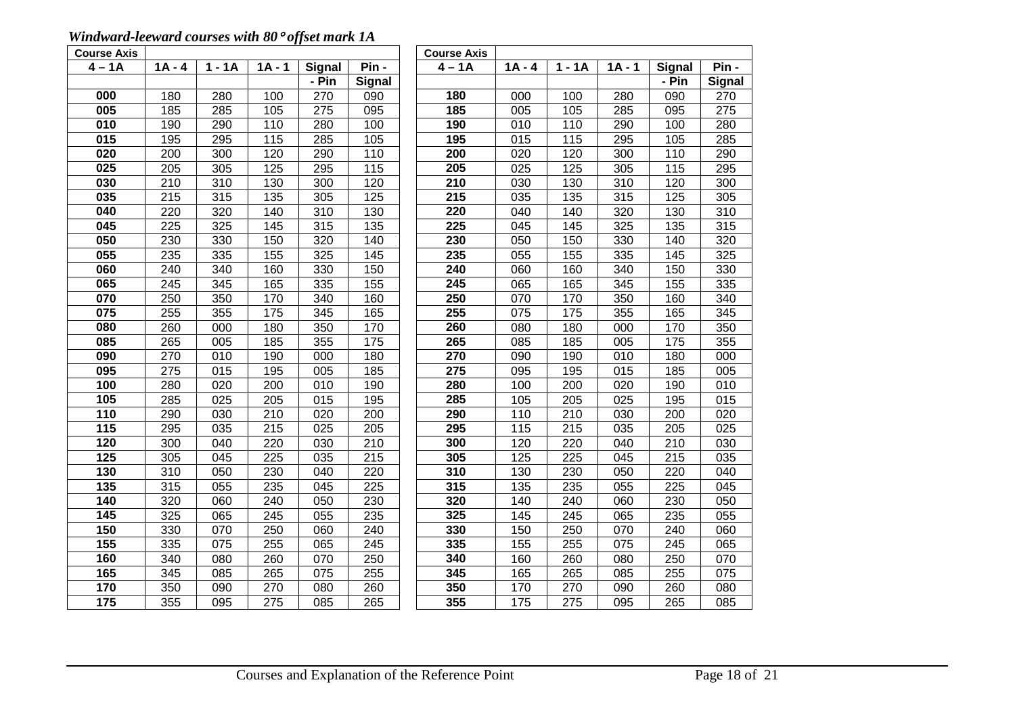## *Windward-leeward courses with 80*° *offset mark 1A*

| <b>Course Axis</b> |                  |                  |          |                  |                  | <b>Course Axis</b> |                   |                  |          |               |               |
|--------------------|------------------|------------------|----------|------------------|------------------|--------------------|-------------------|------------------|----------|---------------|---------------|
| $4 - 1A$           | $1A - 4$         | $1 - 1A$         | $1A - 1$ | <b>Signal</b>    | Pin -            | $4 - 1A$           | $1A - 4$          | $1 - 1A$         | $1A - 1$ | <b>Signal</b> | Pin -         |
|                    |                  |                  |          | - Pin            | <b>Signal</b>    |                    |                   |                  |          | - Pin         | <b>Signal</b> |
| 000                | 180              | 280              | 100      | 270              | 090              | 180                | 000               | 100              | 280      | 090           | 270           |
| 005                | 185              | 285              | 105      | $\overline{275}$ | 095              | 185                | 005               | 105              | 285      | 095           | 275           |
| 010                | 190              | 290              | 110      | 280              | 100              | 190                | 010               | 110              | 290      | 100           | 280           |
| 015                | 195              | 295              | 115      | 285              | 105              | 195                | 015               | 115              | 295      | 105           | 285           |
| 020                | 200              | 300              | 120      | 290              | 110              | 200                | 020               | 120              | 300      | 110           | 290           |
| 025                | 205              | 305              | 125      | 295              | 115              | 205                | $\overline{025}$  | 125              | 305      | 115           | 295           |
| 030                | $\overline{210}$ | $\overline{310}$ | 130      | 300              | 120              | 210                | 030               | 130              | 310      | 120           | 300           |
| 035                | 215              | 315              | 135      | 305              | 125              | 215                | 035               | 135              | 315      | 125           | 305           |
| 040                | 220              | 320              | 140      | $\overline{310}$ | 130              | 220                | 040               | 140              | 320      | 130           | 310           |
| 045                | $\overline{225}$ | 325              | 145      | 315              | $\overline{135}$ | 225                | $\overline{045}$  | 145              | 325      | 135           | 315           |
| 050                | 230              | 330              | 150      | 320              | 140              | 230                | 050               | 150              | 330      | 140           | 320           |
| 055                | 235              | 335              | 155      | 325              | 145              | 235                | 055               | 155              | 335      | 145           | 325           |
| 060                | 240              | 340              | 160      | 330              | 150              | 240                | 060               | 160              | 340      | 150           | 330           |
| 065                | 245              | 345              | 165      | 335              | 155              | $\overline{245}$   | 065               | 165              | 345      | 155           | 335           |
| 070                | 250              | 350              | 170      | 340              | 160              | 250                | 070               | 170              | 350      | 160           | 340           |
| 075                | 255              | 355              | 175      | 345              | 165              | 255                | 075               | $\frac{1}{175}$  | 355      | 165           | 345           |
| 080                | 260              | 000              | 180      | 350              | 170              | 260                | 080               | 180              | 000      | 170           | 350           |
| 085                | 265              | 005              | 185      | 355              | 175              | 265                | 085               | 185              | 005      | 175           | 355           |
| 090                | 270              | 010              | 190      | 000              | 180              | 270                | 090               | 190              | 010      | 180           | 000           |
| 095                | 275              | 015              | 195      | 005              | 185              | 275                | 095               | 195              | 015      | 185           | 005           |
| 100                | 280              | 020              | 200      | 010              | 190              | 280                | 100               | 200              | 020      | 190           | 010           |
| 105                | 285              | 025              | 205      | 015              | 195              | 285                | 105               | 205              | 025      | 195           | 015           |
| 110                | 290              | 030              | 210      | 020              | 200              | 290                | 110               | 210              | 030      | 200           | 020           |
| $\frac{115}{115}$  | 295              | 035              | 215      | 025              | 205              | 295                | 115               | 215              | 035      | 205           | 025           |
| 120                | 300              | 040              | 220      | 030              | 210              | 300                | 120               | 220              | 040      | 210           | 030           |
| 125                | 305              | 045              | 225      | 035              | 215              | 305                | 125               | 225              | 045      | 215           | 035           |
| 130                | 310              | 050              | 230      | 040              | 220              | 310                | 130               | 230              | 050      | 220           | 040           |
| 135                | 315              | 055              | 235      | 045              | 225              | 315                | 135               | 235              | 055      | 225           | 045           |
| 140                | 320              | 060              | 240      | 050              | 230              | 320                | 140               | 240              | 060      | 230           | 050           |
| 145                | 325              | 065              | 245      | 055              | 235              | 325                | 145               | 245              | 065      | 235           | 055           |
| 150                | 330              | 070              | 250      | 060              | 240              | 330                | 150               | 250              | 070      | 240           | 060           |
| 155                | 335              | 075              | 255      | 065              | $\overline{245}$ | 335                | 155               | 255              | 075      | 245           | 065           |
| 160                | 340              | 080              | 260      | 070              | 250              | 340                | 160               | 260              | 080      | 250           | 070           |
| 165                | 345              | 085              | 265      | 075              | 255              | 345                | 165               | 265              | 085      | 255           | 075           |
| 170                | 350              | 090              | 270      | 080              | 260              | 350                | 170               | 270              | 090      | 260           | 080           |
| $\frac{1}{175}$    | 355              | 095              | 275      | $\overline{085}$ | 265              | 355                | $\frac{175}{175}$ | $\overline{275}$ | 095      | 265           | 085           |